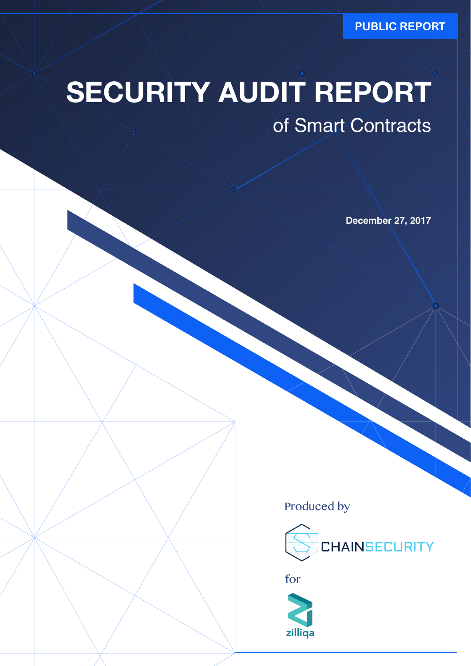**PUBLIC REPORT**

# **SECURITY AUDIT REPORT**

### of Smart Contracts

**December 27, 2017**

Produced by





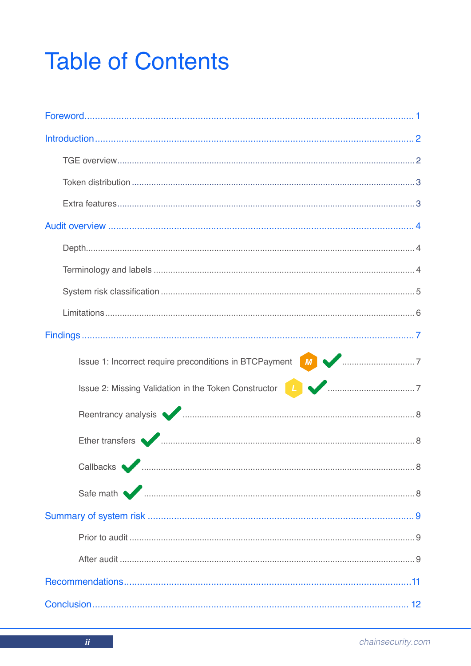## **Table of Contents**

| Issue 1: Incorrect require preconditions in BTCPayment MACCONSUM 7                                                                                                                                                                  |  |
|-------------------------------------------------------------------------------------------------------------------------------------------------------------------------------------------------------------------------------------|--|
| Issue 2: Missing Validation in the Token Constructor <b>14 Marshall</b> material and 7                                                                                                                                              |  |
| Reentrancy analysis <b>vertext</b> material contracts and all the set of the set of the set of the set of the set of the set of the set of the set of the set of the set of the set of the set of the set of the set of the set of  |  |
| Ether transfers <u>Charles Communications</u> and the contract of the contract of the contract of the contract of the contract of the contract of the contract of the contract of the contract of the contract of the contract of t |  |
|                                                                                                                                                                                                                                     |  |
|                                                                                                                                                                                                                                     |  |
|                                                                                                                                                                                                                                     |  |
|                                                                                                                                                                                                                                     |  |
|                                                                                                                                                                                                                                     |  |
|                                                                                                                                                                                                                                     |  |
|                                                                                                                                                                                                                                     |  |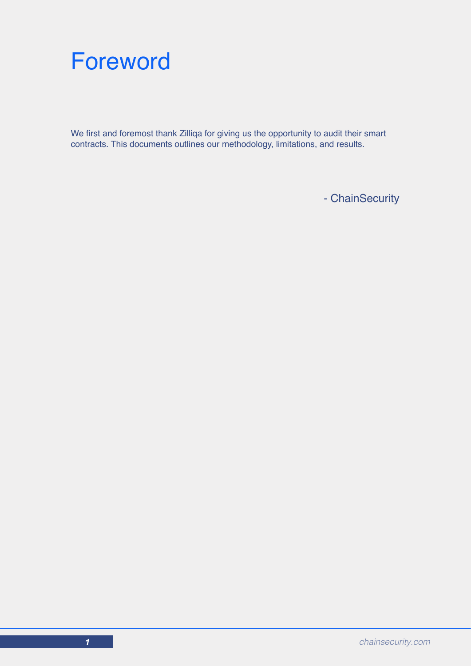

We first and foremost thank Zilliqa for giving us the opportunity to audit their smart contracts. This documents outlines our methodology, limitations, and results.

- ChainSecurity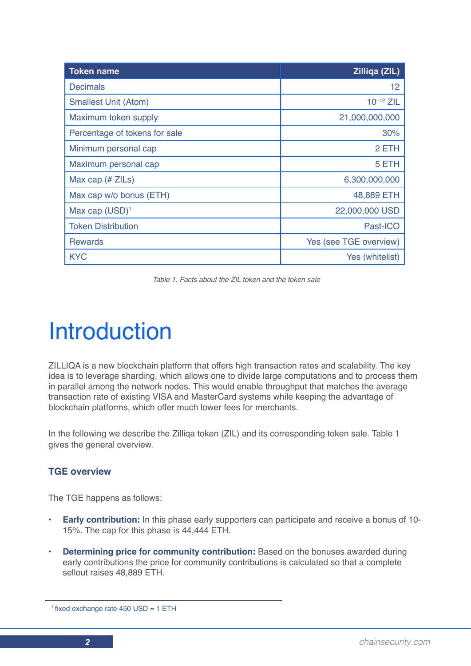| <b>Token name</b>             | <b>Zilliga (ZIL)</b>   |
|-------------------------------|------------------------|
| <b>Decimals</b>               | 12                     |
| <b>Smallest Unit (Atom)</b>   | $10^{-12}$ ZIL         |
| Maximum token supply          | 21,000,000,000         |
| Percentage of tokens for sale | 30%                    |
| Minimum personal cap          | 2 ETH                  |
| Maximum personal cap          | 5 ETH                  |
| Max cap $(H ZILs)$            | 6,300,000,000          |
| Max cap w/o bonus (ETH)       | 48,889 ETH             |
| Max cap $(USD)^1$             | 22,000,000 USD         |
| <b>Token Distribution</b>     | Past-ICO               |
| <b>Rewards</b>                | Yes (see TGE overview) |
| <b>KYC</b>                    | Yes (whitelist)        |

*Table 1. Facts about the ZIL token and the token sale*

## Introduction

ZILLIQA is a new blockchain platform that offers high transaction rates and scalability. The key idea is to leverage sharding, which allows one to divide large computations and to process them in parallel among the network nodes. This would enable throughput that matches the average transaction rate of existing VISA and MasterCard systems while keeping the advantage of blockchain platforms, which offer much lower fees for merchants.

In the following we describe the Zilliqa token (ZIL) and its corresponding token sale. Table 1 gives the general overview.

#### **TGE overview**

The TGE happens as follows:

- **• Early contribution:** In this phase early supporters can participate and receive a bonus of 10- 15%. The cap for this phase is 44,444 ETH.
- **• Determining price for community contribution:** Based on the bonuses awarded during early contributions the price for community contributions is calculated so that a complete sellout raises 48,889 ETH.

<sup>1</sup> fixed exchange rate 450 USD = 1 ETH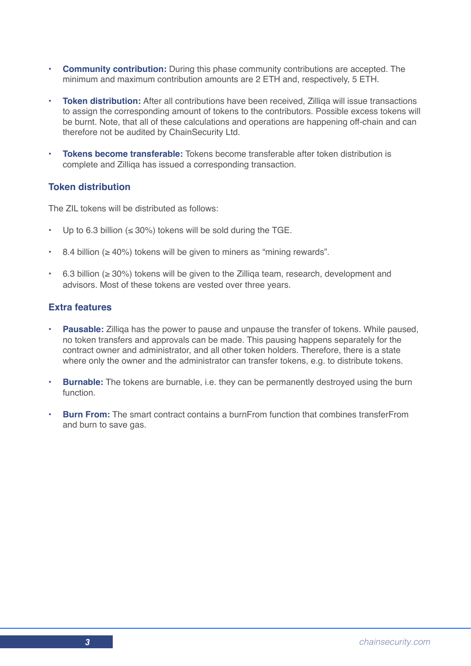- **• Community contribution:** During this phase community contributions are accepted. The minimum and maximum contribution amounts are 2 ETH and, respectively, 5 ETH.
- **Token distribution:** After all contributions have been received. Zilliga will issue transactions to assign the corresponding amount of tokens to the contributors. Possible excess tokens will be burnt. Note, that all of these calculations and operations are happening off-chain and can therefore not be audited by ChainSecurity Ltd.
- **• Tokens become transferable:** Tokens become transferable after token distribution is complete and Zilliqa has issued a corresponding transaction.

#### **Token distribution**

The ZIL tokens will be distributed as follows:

- Up to 6.3 billion ( $\leq$  30%) tokens will be sold during the TGE.
- 8.4 billion ( $\geq 40\%$ ) tokens will be given to miners as "mining rewards".
- 6.3 billion (≥ 30%) tokens will be given to the Zilliqa team, research, development and advisors. Most of these tokens are vested over three years.

#### **Extra features**

- **• Pausable:** Zilliqa has the power to pause and unpause the transfer of tokens. While paused, no token transfers and approvals can be made. This pausing happens separately for the contract owner and administrator, and all other token holders. Therefore, there is a state where only the owner and the administrator can transfer tokens, e.g. to distribute tokens.
- **• Burnable:** The tokens are burnable, i.e. they can be permanently destroyed using the burn function.
- **• Burn From:** The smart contract contains a burnFrom function that combines transferFrom and burn to save gas.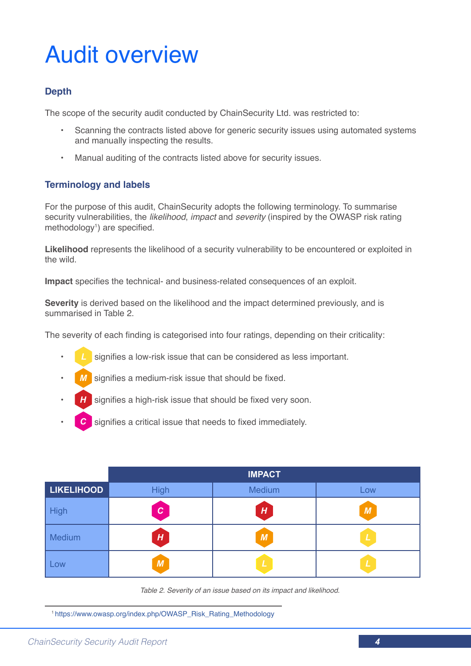## Audit overview

#### **Depth**

The scope of the security audit conducted by ChainSecurity Ltd. was restricted to:

- Scanning the contracts listed above for generic security issues using automated systems and manually inspecting the results.
- Manual auditing of the contracts listed above for security issues.

#### **Terminology and labels**

For the purpose of this audit, ChainSecurity adopts the following terminology. To summarise security vulnerabilities, the *likelihood*, *impact* and *severity* (inspired by the OWASP risk rating methodology<sup>1</sup>) are specified.

**Likelihood** represents the likelihood of a security vulnerability to be encountered or exploited in the wild.

**Impact** specifies the technical- and business-related consequences of an exploit.

**Severity** is derived based on the likelihood and the impact determined previously, and is summarised in Table 2.

The severity of each finding is categorised into four ratings, depending on their criticality:

- signifies a low-risk issue that can be considered as less important.
- signifies a medium-risk issue that should be fixed.
- signifies a high-risk issue that should be fixed very soon.
- signifies a critical issue that needs to fixed immediately.

|                   | <b>IMPACT</b> |        |               |
|-------------------|---------------|--------|---------------|
| <b>LIKELIHOOD</b> | <b>High</b>   | Medium | Low           |
| <b>High</b>       | c             | H      | M             |
| Medium            | H             | M      | $\mathbf{L}$  |
| Low               | M             | L      | $\mathcal{L}$ |

*Table 2. Severity of an issue based on its impact and likelihood.*

1 https://www.owasp.org/index.php/OWASP\_Risk\_Rating\_Methodology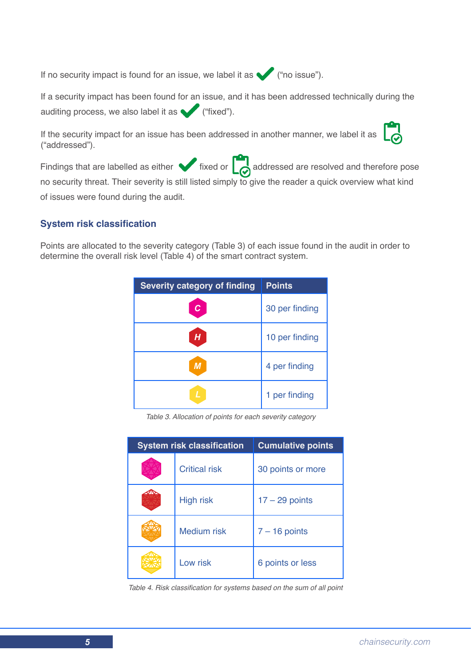If no security impact is found for an issue, we label it as  $($ "no issue").

If a security impact has been found for an issue, and it has been addressed technically during the auditing process, we also label it as  $($  "fixed").

If the security impact for an issue has been addressed in another manner, we label it as ("addressed").



Findings that are labelled as either  $\bigtriangledown$  fixed or  $\bigcirc$  addressed are resolved and therefore pose no security threat. Their severity is still listed simply to give the reader a quick overview what kind of issues were found during the audit.

#### **System risk classification**

Points are allocated to the severity category (Table 3) of each issue found in the audit in order to determine the overall risk level (Table 4) of the smart contract system.

| <b>Severity category of finding</b> | <b>Points</b>  |
|-------------------------------------|----------------|
|                                     | 30 per finding |
| $\overline{\bm{H}}$                 | 10 per finding |
| M                                   | 4 per finding  |
|                                     | 1 per finding  |

*Table 3. Allocation of points for each severity category*

| <b>System risk classification</b> |                      | <b>Cumulative points</b> |
|-----------------------------------|----------------------|--------------------------|
|                                   | <b>Critical risk</b> | 30 points or more        |
|                                   | <b>High risk</b>     | $17 - 29$ points         |
|                                   | <b>Medium risk</b>   | $7 - 16$ points          |
|                                   | Low risk             | 6 points or less         |

Table 4. Risk classification for systems based on the sum of all point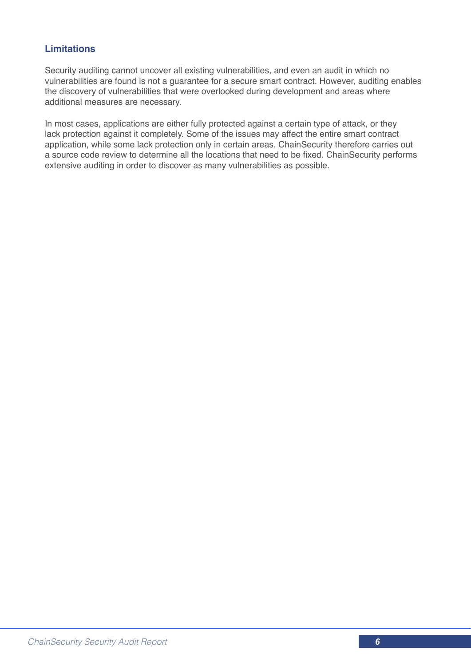#### **Limitations**

Security auditing cannot uncover all existing vulnerabilities, and even an audit in which no vulnerabilities are found is not a guarantee for a secure smart contract. However, auditing enables the discovery of vulnerabilities that were overlooked during development and areas where additional measures are necessary.

In most cases, applications are either fully protected against a certain type of attack, or they lack protection against it completely. Some of the issues may affect the entire smart contract application, while some lack protection only in certain areas. ChainSecurity therefore carries out a source code review to determine all the locations that need to be fixed. ChainSecurity performs extensive auditing in order to discover as many vulnerabilities as possible.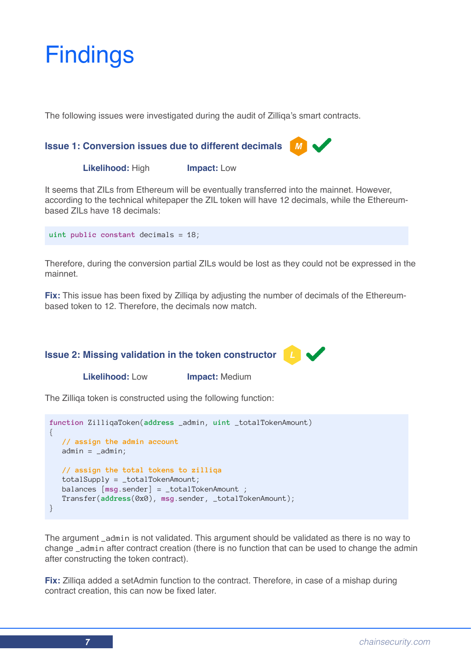## **Findings**

The following issues were investigated during the audit of Zilliqa's smart contracts.

#### **Issue 1: Conversion issues due to different decimals**

 **Likelihood:** High **Impact:** Low

It seems that ZILs from Ethereum will be eventually transferred into the mainnet. However, according to the technical whitepaper the ZIL token will have 12 decimals, while the Ethereumbased ZILs have 18 decimals:

**uint public constant** decimals = 18;

Therefore, during the conversion partial ZILs would be lost as they could not be expressed in the mainnet.

**Fix:** This issue has been fixed by Zilliqa by adjusting the number of decimals of the Ethereumbased token to 12. Therefore, the decimals now match.

#### **Issue 2: Missing validation in the token constructor**

 **Likelihood:** Low **Impact:** Medium

The Zilliqa token is constructed using the following function:

```
function ZilliqaToken(address _admin, uint _totalTokenAmount)
{ 
   // assign the admin account
  admin = _a dmin; // assign the total tokens to zilliqa
    totalSupply = _totalTokenAmount;
    balances [msg.sender] = _totalTokenAmount ;
    Transfer(address(0x0), msg.sender, _totalTokenAmount); 
}
```
The argument \_admin is not validated. This argument should be validated as there is no way to change \_admin after contract creation (there is no function that can be used to change the admin after constructing the token contract).

**Fix:** Zilliqa added a setAdmin function to the contract. Therefore, in case of a mishap during contract creation, this can now be fixed later.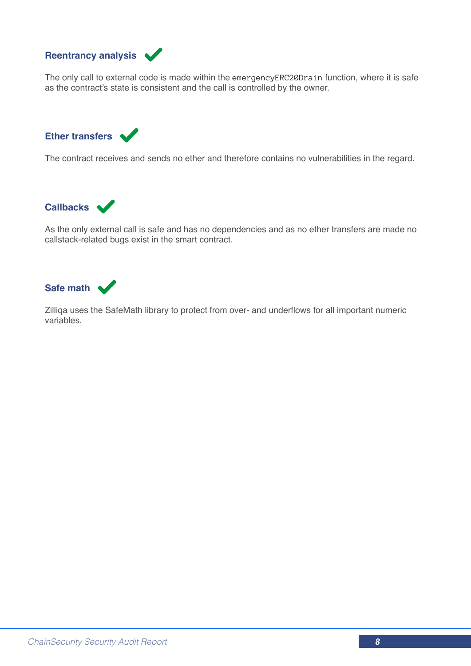

The only call to external code is made within the emergencyERC20Drain function, where it is safe as the contract's state is consistent and the call is controlled by the owner.



The contract receives and sends no ether and therefore contains no vulnerabilities in the regard.

**Callbacks**

As the only external call is safe and has no dependencies and as no ether transfers are made no callstack-related bugs exist in the smart contract.



Zilliqa uses the SafeMath library to protect from over- and underflows for all important numeric variables.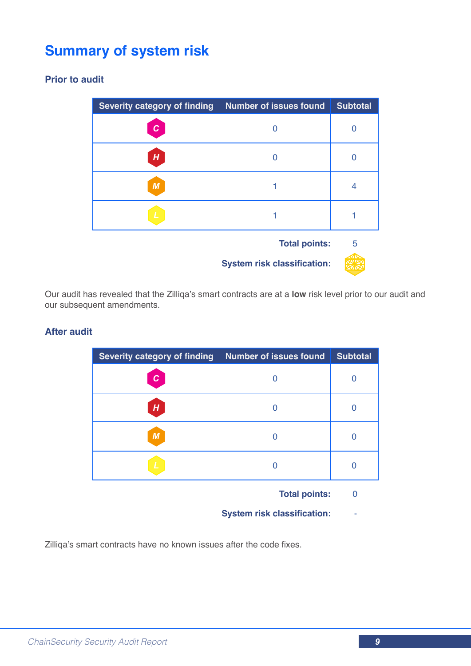### **Summary of system risk**

#### **Prior to audit**

| <b>Severity category of finding</b> | <b>Number of issues found</b>      | <b>Subtotal</b> |
|-------------------------------------|------------------------------------|-----------------|
| С                                   |                                    | 0               |
| H                                   |                                    |                 |
| М                                   |                                    | 4               |
|                                     |                                    |                 |
|                                     | <b>Total points:</b>               | 5               |
|                                     | <b>System risk classification:</b> |                 |

Our audit has revealed that the Zilliqa's smart contracts are at a **low** risk level prior to our audit and our subsequent amendments.

#### **After audit**

| <b>Severity category of finding</b> | <b>Number of issues found</b> | <b>Subtotal</b> |
|-------------------------------------|-------------------------------|-----------------|
| $\mathbf c$                         |                               |                 |
| H                                   |                               |                 |
| $\boldsymbol{M}$                    |                               |                 |
|                                     |                               |                 |

**Total points:** 0

**System risk classification:** -

Zilliqa's smart contracts have no known issues after the code fixes.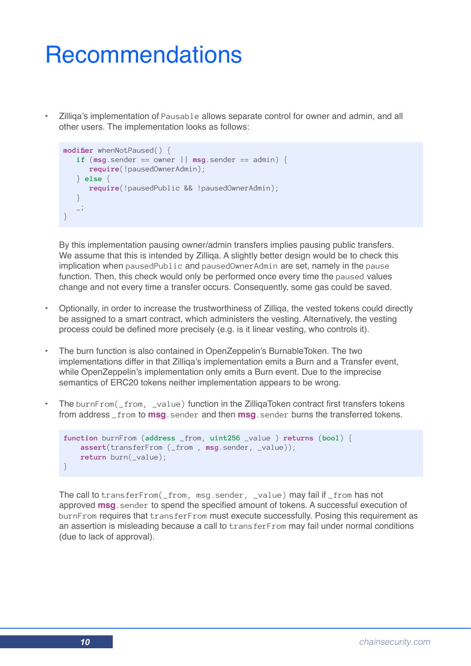### **Recommendations**

• Zilliqa's implementation of Pausable allows separate control for owner and admin, and all other users. The implementation looks as follows:

```
modifier whenNotPaused() {
   if (msg.sender == owner || msg.sender == admin) require(!pausedOwnerAdmin);
    } else {
       require(!pausedPublic && !pausedOwnerAdmin);
    }
   \frac{1}{\sqrt{2}}}
```
By this implementation pausing owner/admin transfers implies pausing public transfers. We assume that this is intended by Zilliqa. A slightly better design would be to check this implication when pausedPublic and pausedOwnerAdmin are set, namely in the pause function. Then, this check would only be performed once every time the paused values change and not every time a transfer occurs. Consequently, some gas could be saved.

- Optionally, in order to increase the trustworthiness of Zilliqa, the vested tokens could directly be assigned to a smart contract, which administers the vesting. Alternatively, the vesting process could be defined more precisely (e.g. is it linear vesting, who controls it).
- The burn function is also contained in OpenZeppelin's BurnableToken. The two implementations differ in that Zilliga's implementation emits a Burn and a Transfer event. while OpenZeppelin's implementation only emits a Burn event. Due to the imprecise semantics of ERC20 tokens neither implementation appears to be wrong.
- The burnFrom(\_from, \_value) function in the ZilliqaToken contract first transfers tokens from address \_from to **msg**.sender and then **msg**.sender burns the transferred tokens.

```
function burnFrom (address _from, uint256 _value ) returns (bool) {
    assert(transferFrom (_from , msg.sender, _value));
     return burn(_value);
}
```
The call to transferFrom(\_from, msg.sender, \_value) may fail if \_from has not approved **msg**.sender to spend the specified amount of tokens. A successful execution of burnFrom requires that transferFrom must execute successfully. Posing this requirement as an assertion is misleading because a call to transferFrom may fail under normal conditions (due to lack of approval).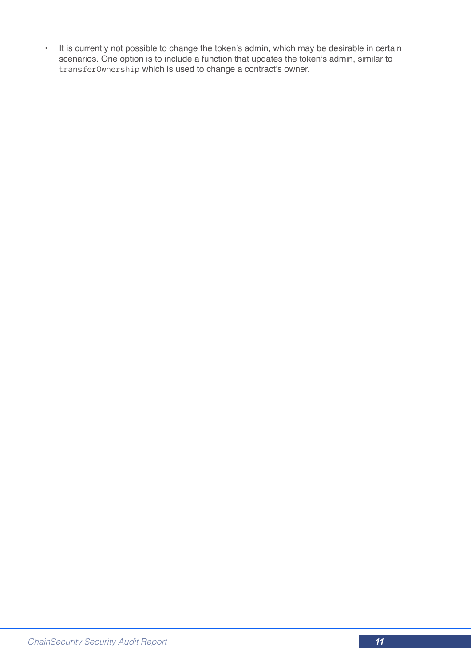• It is currently not possible to change the token's admin, which may be desirable in certain scenarios. One option is to include a function that updates the token's admin, similar to transferOwnership which is used to change a contract's owner.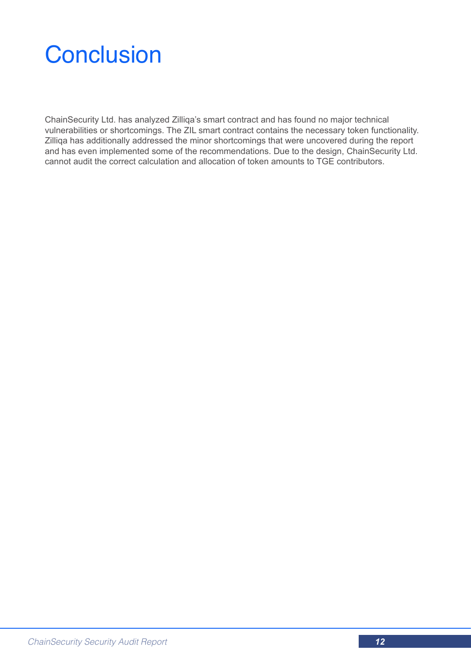### **Conclusion**

ChainSecurity Ltd. has analyzed Zilliqa's smart contract and has found no major technical vulnerabilities or shortcomings. The ZIL smart contract contains the necessary token functionality. Zilliqa has additionally addressed the minor shortcomings that were uncovered during the report and has even implemented some of the recommendations. Due to the design, ChainSecurity Ltd. cannot audit the correct calculation and allocation of token amounts to TGE contributors.